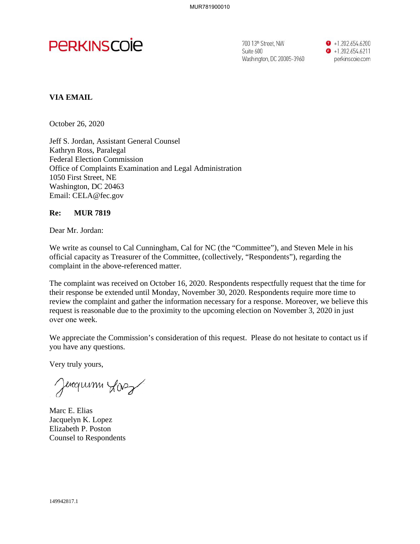

Suite 600 Washington. DC 20005-3960 **0** + 1.202.654 6200  $\bullet$  +1.202.654.6211 perkinscoie com

## **VIA EMAIL**

October 26, 2020

Jeff S. Jordan, Assistant General Counsel Kathryn Ross, Paralegal Federal Election Commission Office of Complaints Examination and Legal Administration 1050 First Street, NE Washington, DC 20463 Email: CELA@fec.gov

## **Re: MUR 7819**

Dear Mr. Jordan:

We write as counsel to Cal Cunningham, Cal for NC (the "Committee"), and Steven Mele in his official capacity as Treasurer of the Committee, (collectively, "Respondents"), regarding the complaint in the above-referenced matter.

The complaint was received on October 16, 2020. Respondents respectfully request that the time for their response be extended until Monday, November 30, 2020. Respondents require more time to review the complaint and gather the information necessary for a response. Moreover, we believe this request is reasonable due to the proximity to the upcoming election on November 3, 2020 in just over one week.

We appreciate the Commission's consideration of this request. Please do not hesitate to contact us if you have any questions.

Very truly yours,

Jencymm Los

Marc E. Elias Jacquelyn K. Lopez Elizabeth P. Poston Counsel to Respondents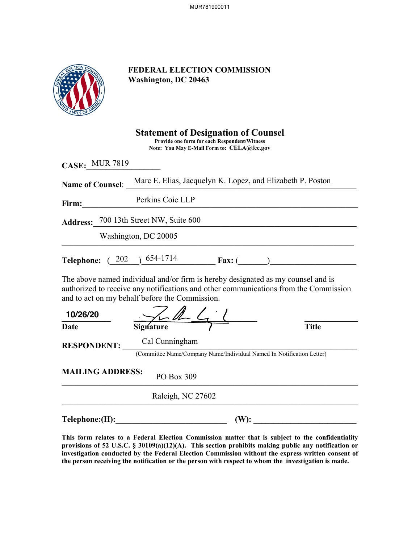MUR781900011



## **FEDERAL ELECTION COMMISSION Washington, DC 20463**

|                         | <b>Statement of Designation of Counsel</b><br>Provide one form for each Respondent/Witness<br>Note: You May E-Mail Form to: CELA@fec.gov                                                                                   |              |
|-------------------------|----------------------------------------------------------------------------------------------------------------------------------------------------------------------------------------------------------------------------|--------------|
| <b>CASE: MUR 7819</b>   |                                                                                                                                                                                                                            |              |
|                         | Name of Counsel: Marc E. Elias, Jacquelyn K. Lopez, and Elizabeth P. Poston                                                                                                                                                |              |
| Firm:                   | Perkins Coie LLP                                                                                                                                                                                                           |              |
|                         | Address: 700 13th Street NW, Suite 600                                                                                                                                                                                     |              |
|                         | Washington, DC 20005                                                                                                                                                                                                       |              |
|                         | Telephone: (202) 654-1714 Fax: (202)                                                                                                                                                                                       |              |
|                         | The above named individual and/or firm is hereby designated as my counsel and is<br>authorized to receive any notifications and other communications from the Commission<br>and to act on my behalf before the Commission. |              |
| 10/26/20                |                                                                                                                                                                                                                            |              |
| Date                    |                                                                                                                                                                                                                            | <b>Title</b> |
| <b>RESPONDENT:</b>      | Cal Cunningham                                                                                                                                                                                                             |              |
|                         | (Committee Name/Company Name/Individual Named In Notification Letter)                                                                                                                                                      |              |
| <b>MAILING ADDRESS:</b> | PO Box 309                                                                                                                                                                                                                 |              |
|                         | Raleigh, NC 27602                                                                                                                                                                                                          |              |
| Telephone: (H):         | $(W)$ :                                                                                                                                                                                                                    |              |

**This form relates to a Federal Election Commission matter that is subject to the confidentiality provisions of 52 U.S.C. § 30109(a)(12)(A). This section prohibits making public any notification or**  investigation conducted by the Federal Election Commission without the express written consent of **the person receiving the notification or the person with respect to whom the investigation is made.**